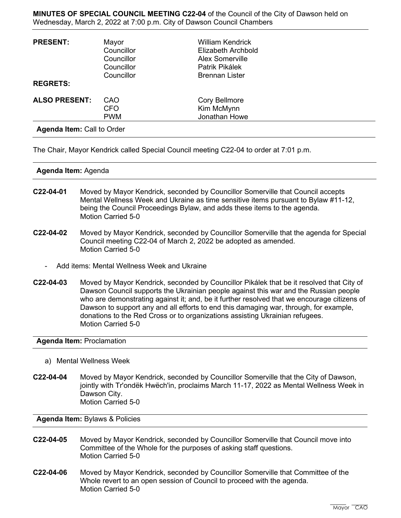**MINUTES OF SPECIAL COUNCIL MEETING C22-04** of the Council of the City of Dawson held on Wednesday, March 2, 2022 at 7:00 p.m. City of Dawson Council Chambers

| <b>PRESENT:</b>                   | Mayor<br>Councillor<br>Councillor<br>Councillor | William Kendrick<br>Elizabeth Archbold<br><b>Alex Somerville</b><br>Patrik Pikálek |  |
|-----------------------------------|-------------------------------------------------|------------------------------------------------------------------------------------|--|
| <b>REGRETS:</b>                   | Councillor                                      | <b>Brennan Lister</b>                                                              |  |
| <b>ALSO PRESENT:</b>              | CAO<br><b>CFO</b><br><b>PWM</b>                 | Cory Bellmore<br>Kim McMynn<br>Jonathan Howe                                       |  |
| <b>Agenda Item: Call to Order</b> |                                                 |                                                                                    |  |

The Chair, Mayor Kendrick called Special Council meeting C22-04 to order at 7:01 p.m.

## **Agenda Item:** Agenda

- **C22-04-01** Moved by Mayor Kendrick, seconded by Councillor Somerville that Council accepts Mental Wellness Week and Ukraine as time sensitive items pursuant to Bylaw #11-12, being the Council Proceedings Bylaw, and adds these items to the agenda. Motion Carried 5-0
- **C22-04-02** Moved by Mayor Kendrick, seconded by Councillor Somerville that the agenda for Special Council meeting C22-04 of March 2, 2022 be adopted as amended. Motion Carried 5-0
	- Add items: Mental Wellness Week and Ukraine
- **C22-04-03** Moved by Mayor Kendrick, seconded by Councillor Pikálek that be it resolved that City of Dawson Council supports the Ukrainian people against this war and the Russian people who are demonstrating against it; and, be it further resolved that we encourage citizens of Dawson to support any and all efforts to end this damaging war, through, for example, donations to the Red Cross or to organizations assisting Ukrainian refugees. Motion Carried 5-0

## **Agenda Item:** Proclamation

- a) Mental Wellness Week
- **C22-04-04** Moved by Mayor Kendrick, seconded by Councillor Somerville that the City of Dawson, jointly with Tr'ondëk Hwëch'in, proclaims March 11-17, 2022 as Mental Wellness Week in Dawson City. Motion Carried 5-0

**Agenda Item:** Bylaws & Policies

- **C22-04-05** Moved by Mayor Kendrick, seconded by Councillor Somerville that Council move into Committee of the Whole for the purposes of asking staff questions. Motion Carried 5-0
- **C22-04-06** Moved by Mayor Kendrick, seconded by Councillor Somerville that Committee of the Whole revert to an open session of Council to proceed with the agenda. Motion Carried 5-0